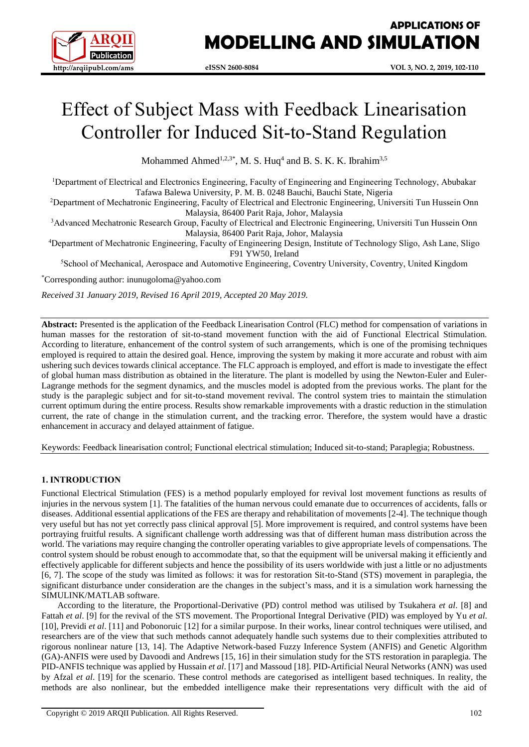

## **APPLICATIONS OF MODELLING AND SIMULATION**

# Effect of Subject Mass with Feedback Linearisation Controller for Induced Sit-to-Stand Regulation

Mohammed Ahmed<sup>1,2,3\*</sup>, M. S. Huq<sup>4</sup> and B. S. K. K. Ibrahim<sup>3,5</sup>

<sup>1</sup>Department of Electrical and Electronics Engineering, Faculty of Engineering and Engineering Technology, Abubakar Tafawa Balewa University, P. M. B. 0248 Bauchi, Bauchi State, Nigeria

<sup>2</sup>Department of Mechatronic Engineering, Faculty of Electrical and Electronic Engineering, Universiti Tun Hussein Onn Malaysia, 86400 Parit Raja, Johor, Malaysia

<sup>3</sup>Advanced Mechatronic Research Group, Faculty of Electrical and Electronic Engineering, Universiti Tun Hussein Onn Malaysia, 86400 Parit Raja, Johor, Malaysia

<sup>4</sup>Department of Mechatronic Engineering, Faculty of Engineering Design, Institute of Technology Sligo, Ash Lane, Sligo F91 YW50, Ireland

<sup>5</sup>School of Mechanical, Aerospace and Automotive Engineering, Coventry University, Coventry, United Kingdom

\*Corresponding author: [inunugoloma@yahoo.com](mailto:inunugoloma@yahoo.com)

*Received 31 January 2019, Revised 16 April 2019, Accepted 20 May 2019.*

**Abstract:** Presented is the application of the Feedback Linearisation Control (FLC) method for compensation of variations in human masses for the restoration of sit-to-stand movement function with the aid of Functional Electrical Stimulation. According to literature, enhancement of the control system of such arrangements, which is one of the promising techniques employed is required to attain the desired goal. Hence, improving the system by making it more accurate and robust with aim ushering such devices towards clinical acceptance. The FLC approach is employed, and effort is made to investigate the effect of global human mass distribution as obtained in the literature. The plant is modelled by using the Newton-Euler and Euler-Lagrange methods for the segment dynamics, and the muscles model is adopted from the previous works. The plant for the study is the paraplegic subject and for sit-to-stand movement revival. The control system tries to maintain the stimulation current optimum during the entire process. Results show remarkable improvements with a drastic reduction in the stimulation current, the rate of change in the stimulation current, and the tracking error. Therefore, the system would have a drastic enhancement in accuracy and delayed attainment of fatigue.

Keywords: Feedback linearisation control; Functional electrical stimulation; Induced sit-to-stand; Paraplegia; Robustness.

#### **1. INTRODUCTION**

Functional Electrical Stimulation (FES) is a method popularly employed for revival lost movement functions as results of injuries in the nervous system [\[1\]](#page-7-0). The fatalities of the human nervous could emanate due to occurrences of accidents, falls or diseases. Additional essential applications of the FES are therapy and rehabilitation of movements [\[2-4\]](#page-7-1). The technique though very useful but has not yet correctly pass clinical approval [\[5\]](#page-7-2). More improvement is required, and control systems have been portraying fruitful results. A significant challenge worth addressing was that of different human mass distribution across the world. The variations may require changing the controller operating variables to give appropriate levels of compensations. The control system should be robust enough to accommodate that, so that the equipment will be universal making it efficiently and effectively applicable for different subjects and hence the possibility of its users worldwide with just a little or no adjustments [\[6,](#page-7-3) [7\]](#page-8-0). The scope of the study was limited as follows: it was for restoration Sit-to-Stand (STS) movement in paraplegia, the significant disturbance under consideration are the changes in the subject's mass, and it is a simulation work harnessing the SIMULINK/MATLAB software.

According to the literature, the Proportional-Derivative (PD) control method was utilised by Tsukahera *et al*. [\[8\]](#page-8-1) and Fattah *et al*. [\[9\]](#page-8-2) for the revival of the STS movement. The Proportional Integral Derivative (PID) was employed by Yu *et al*. [\[10\]](#page-8-3), Previdi *et al*. [\[11\]](#page-8-4) and Pobonoruic [\[12\]](#page-8-5) for a similar purpose. In their works, linear control techniques were utilised, and researchers are of the view that such methods cannot adequately handle such systems due to their complexities attributed to rigorous nonlinear nature [\[13,](#page-8-6) [14\]](#page-8-7). The Adaptive Network-based Fuzzy Inference System (ANFIS) and Genetic Algorithm (GA)-ANFIS were used by Davoodi and Andrews [\[15,](#page-8-8) [16\]](#page-8-9) in their simulation study for the STS restoration in paraplegia. The PID-ANFIS technique was applied by Hussain *et al*. [\[17\]](#page-8-10) and Massoud [\[18\]](#page-8-11). PID-Artificial Neural Networks (ANN) was used by Afzal *et al*. [\[19\]](#page-8-12) for the scenario. These control methods are categorised as intelligent based techniques. In reality, the methods are also nonlinear, but the embedded intelligence make their representations very difficult with the aid of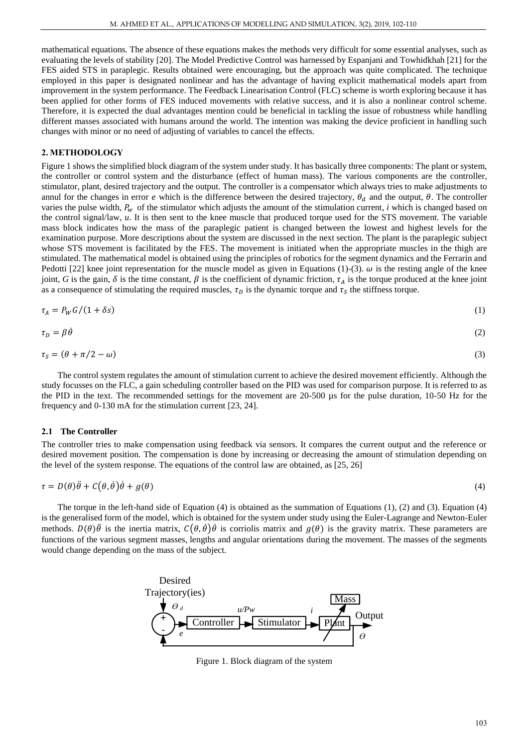mathematical equations. The absence of these equations makes the methods very difficult for some essential analyses, such as evaluating the levels of stability [\[20\]](#page-8-13). The Model Predictive Control was harnessed by Espanjani and Towhidkhah [\[21\]](#page-8-14) for the FES aided STS in paraplegic. Results obtained were encouraging, but the approach was quite complicated. The technique employed in this paper is designated nonlinear and has the advantage of having explicit mathematical models apart from improvement in the system performance. The Feedback Linearisation Control (FLC) scheme is worth exploring because it has been applied for other forms of FES induced movements with relative success, and it is also a nonlinear control scheme. Therefore, it is expected the dual advantages mention could be beneficial in tackling the issue of robustness while handling different masses associated with humans around the world. The intention was making the device proficient in handling such changes with minor or no need of adjusting of variables to cancel the effects.

#### **2. METHODOLOGY**

Figure 1 shows the simplified block diagram of the system under study. It has basically three components: The plant or system, the controller or control system and the disturbance (effect of human mass). The various components are the controller, stimulator, plant, desired trajectory and the output. The controller is a compensator which always tries to make adjustments to annul for the changes in error  $e$  which is the difference between the desired trajectory,  $\theta_d$  and the output,  $\theta$ . The controller varies the pulse width,  $P_w$  of the stimulator which adjusts the amount of the stimulation current, *i* which is changed based on the control signal/law, *u*. It is then sent to the knee muscle that produced torque used for the STS movement. The variable mass block indicates how the mass of the paraplegic patient is changed between the lowest and highest levels for the examination purpose. More descriptions about the system are discussed in the next section. The plant is the paraplegic subject whose STS movement is facilitated by the FES. The movement is initiated when the appropriate muscles in the thigh are stimulated. The mathematical model is obtained using the principles of robotics for the segment dynamics and the Ferrarin and Pedotti [\[22\]](#page-8-15) knee joint representation for the muscle model as given in Equations (1)-(3).  $\omega$  is the resting angle of the knee joint, G is the gain,  $\delta$  is the time constant,  $\beta$  is the coefficient of dynamic friction,  $\tau_A$  is the torque produced at the knee joint as a consequence of stimulating the required muscles,  $\tau_D$  is the dynamic torque and  $\tau_S$  the stiffness torque.

$$
\tau_A = P_W G / (1 + \delta s) \tag{1}
$$

$$
\tau_D = \beta \dot{\theta} \tag{2}
$$

$$
\tau_S = (\theta + \pi/2 - \omega) \tag{3}
$$

The control system regulates the amount of stimulation current to achieve the desired movement efficiently. Although the study focusses on the FLC, a gain scheduling controller based on the PID was used for comparison purpose. It is referred to as the PID in the text. The recommended settings for the movement are 20-500 µs for the pulse duration, 10-50 Hz for the frequency and 0-130 mA for the stimulation current [\[23,](#page-8-16) [24\]](#page-8-17).

#### **2.1 The Controller**

The controller tries to make compensation using feedback via sensors. It compares the current output and the reference or desired movement position. The compensation is done by increasing or decreasing the amount of stimulation depending on the level of the system response. The equations of the control law are obtained, as [\[25,](#page-8-18) [26\]](#page-8-19)

$$
\tau = D(\theta)\ddot{\theta} + C(\theta, \dot{\theta})\dot{\theta} + g(\theta) \tag{4}
$$

The torque in the left-hand side of Equation (4) is obtained as the summation of Equations (1), (2) and (3). Equation (4) is the generalised form of the model, which is obtained for the system under study using the Euler-Lagrange and Newton-Euler methods.  $D(\theta)\ddot{\theta}$  is the inertia matrix,  $C(\theta, \dot{\theta})\dot{\theta}$  is corriolis matrix and  $g(\theta)$  is the gravity matrix. These parameters are functions of the various segment masses, lengths and angular orientations during the movement. The masses of the segments would change depending on the mass of the subject.



Figure 1. Block diagram of the system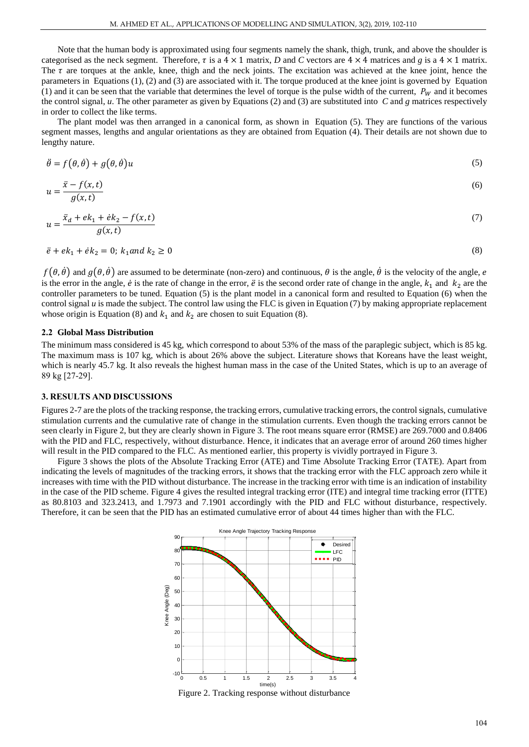Note that the human body is approximated using four segments namely the shank, thigh, trunk, and above the shoulder is categorised as the neck segment. Therefore,  $\tau$  is a  $4 \times 1$  matrix, *D* and *C* vectors are  $4 \times 4$  matrices and *g* is a  $4 \times 1$  matrix. The  $\tau$  are torques at the ankle, knee, thigh and the neck joints. The excitation was achieved at the knee joint, hence the parameters in Equations (1), (2) and (3) are associated with it. The torque produced at the knee joint is governed by Equation (1) and it can be seen that the variable that determines the level of torque is the pulse width of the current,  $P_W$  and it becomes the control signal, *u*. The other parameter as given by Equations (2) and (3) are substituted into *C* and *g* matrices respectively in order to collect the like terms.

The plant model was then arranged in a canonical form, as shown in Equation (5). They are functions of the various segment masses, lengths and angular orientations as they are obtained from Equation (4). Their details are not shown due to lengthy nature.

$$
\ddot{\theta} = f(\theta, \dot{\theta}) + g(\theta, \dot{\theta})u \tag{5}
$$

$$
u = \frac{\ddot{x} - f(x, t)}{g(x, t)}
$$
(6)

$$
u = \frac{\ddot{x}_d + e k_1 + \dot{e} k_2 - f(x, t)}{g(x, t)}
$$
(7)

$$
\ddot{e} + e k_1 + \dot{e} k_2 = 0; \ k_1 \text{ and } k_2 \ge 0 \tag{8}
$$

 $f(\theta, \dot{\theta})$  and  $g(\theta, \dot{\theta})$  are assumed to be determinate (non-zero) and continuous,  $\theta$  is the angle,  $\dot{\theta}$  is the velocity of the angle,  $e$ is the error in the angle,  $\dot{e}$  is the rate of change in the error,  $\ddot{e}$  is the second order rate of change in the angle,  $k_1$  and  $k_2$  are the controller parameters to be tuned. Equation (5) is the plant model in a canonical form and resulted to Equation (6) when the control signal *u* is made the subject. The control law using the FLC is given in Equation (7) by making appropriate replacement whose origin is Equation (8) and  $k_1$  and  $k_2$  are chosen to suit Equation (8).

#### **2.2 Global Mass Distribution**

The minimum mass considered is 45 kg, which correspond to about 53% of the mass of the paraplegic subject, which is 85 kg. The maximum mass is 107 kg, which is about 26% above the subject. Literature shows that Koreans have the least weight, which is nearly 45.7 kg. It also reveals the highest human mass in the case of the United States, which is up to an average of 89 kg [\[27-29\]](#page-8-20).

#### **3. RESULTS AND DISCUSSIONS**

Figures 2-7 are the plots of the tracking response, the tracking errors, cumulative tracking errors, the control signals, cumulative stimulation currents and the cumulative rate of change in the stimulation currents. Even though the tracking errors cannot be seen clearly in Figure 2, but they are clearly shown in Figure 3. The root means square error (RMSE) are 269.7000 and 0.8406 with the PID and FLC, respectively, without disturbance. Hence, it indicates that an average error of around 260 times higher will result in the PID compared to the FLC. As mentioned earlier, this property is vividly portrayed in Figure 3.

Figure 3 shows the plots of the Absolute Tracking Error (ATE) and Time Absolute Tracking Error (TATE). Apart from indicating the levels of magnitudes of the tracking errors, it shows that the tracking error with the FLC approach zero while it increases with time with the PID without disturbance. The increase in the tracking error with time is an indication of instability in the case of the PID scheme. Figure 4 gives the resulted integral tracking error (ITE) and integral time tracking error (ITTE) as 80.8103 and 323.2413, and 1.7973 and 7.1901 accordingly with the PID and FLC without disturbance, respectively. Therefore, it can be seen that the PID has an estimated cumulative error of about 44 times higher than with the FLC.



Figure 2. Tracking response without disturbance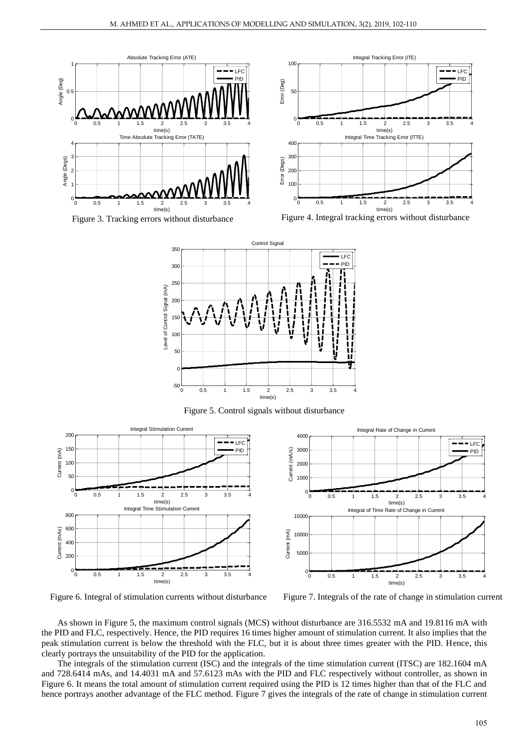



Figure 3. Tracking errors without disturbance Figure 4. Integral tracking errors without disturbance









Figure 6. Integral of stimulation currents without disturbance Figure 7. Integrals of the rate of change in stimulation current

As shown in Figure 5, the maximum control signals (MCS) without disturbance are 316.5532 mA and 19.8116 mA with the PID and FLC, respectively. Hence, the PID requires 16 times higher amount of stimulation current. It also implies that the peak stimulation current is below the threshold with the FLC, but it is about three times greater with the PID. Hence, this clearly portrays the unsuitability of the PID for the application.

The integrals of the stimulation current (ISC) and the integrals of the time stimulation current (ITSC) are 182.1604 mA and 728.6414 mAs, and 14.4031 mA and 57.6123 mAs with the PID and FLC respectively without controller, as shown in Figure 6. It means the total amount of stimulation current required using the PID is 12 times higher than that of the FLC and hence portrays another advantage of the FLC method. Figure 7 gives the integrals of the rate of change in stimulation current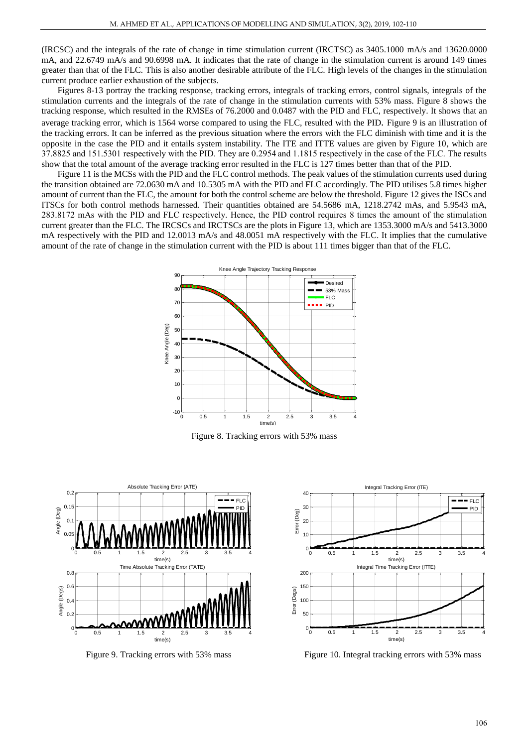(IRCSC) and the integrals of the rate of change in time stimulation current (IRCTSC) as 3405.1000 mA/s and 13620.0000 mA, and 22.6749 mA/s and 90.6998 mA. It indicates that the rate of change in the stimulation current is around 149 times greater than that of the FLC. This is also another desirable attribute of the FLC. High levels of the changes in the stimulation current produce earlier exhaustion of the subjects.

Figures 8-13 portray the tracking response, tracking errors, integrals of tracking errors, control signals, integrals of the stimulation currents and the integrals of the rate of change in the stimulation currents with 53% mass. Figure 8 shows the tracking response, which resulted in the RMSEs of 76.2000 and 0.0487 with the PID and FLC, respectively. It shows that an average tracking error, which is 1564 worse compared to using the FLC, resulted with the PID*.* Figure 9 is an illustration of the tracking errors. It can be inferred as the previous situation where the errors with the FLC diminish with time and it is the opposite in the case the PID and it entails system instability. The ITE and ITTE values are given by Figure 10, which are 37.8825 and 151.5301 respectively with the PID. They are 0.2954 and 1.1815 respectively in the case of the FLC. The results show that the total amount of the average tracking error resulted in the FLC is 127 times better than that of the PID.

Figure 11 is the MCSs with the PID and the FLC control methods. The peak values of the stimulation currents used during the transition obtained are 72.0630 mA and 10.5305 mA with the PID and FLC accordingly. The PID utilises 5.8 times higher amount of current than the FLC, the amount for both the control scheme are below the threshold. Figure 12 gives the ISCs and ITSCs for both control methods harnessed. Their quantities obtained are 54.5686 mA, 1218.2742 mAs, and 5.9543 mA, 283.8172 mAs with the PID and FLC respectively. Hence, the PID control requires 8 times the amount of the stimulation current greater than the FLC. The IRCSCs and IRCTSCs are the plots in Figure 13, which are 1353.3000 mA/s and 5413.3000 mA respectively with the PID and 12.0013 mA/s and 48.0051 mA respectively with the FLC. It implies that the cumulative amount of the rate of change in the stimulation current with the PID is about 111 times bigger than that of the FLC.



Figure 8. Tracking errors with 53% mass





Figure 9. Tracking errors with 53% mass Figure 10. Integral tracking errors with 53% mass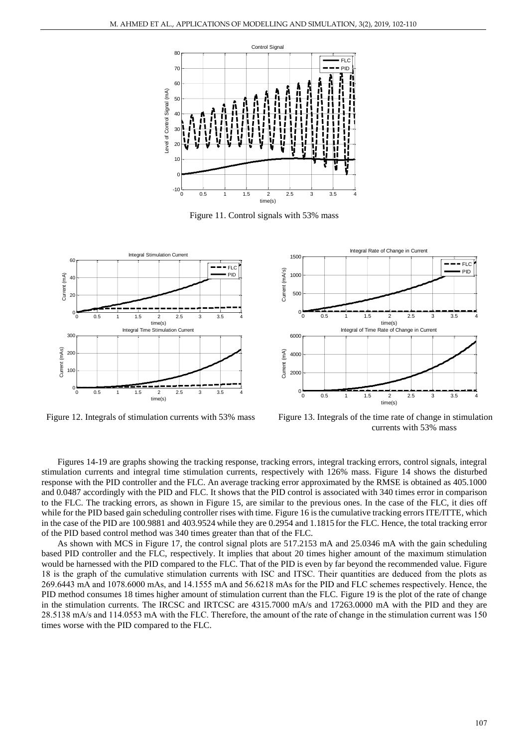

Figure 11. Control signals with 53% mass





Figure 12. Integrals of stimulation currents with 53% mass Figure 13. Integrals of the time rate of change in stimulation currents with 53% mass

Figures 14-19 are graphs showing the tracking response, tracking errors, integral tracking errors, control signals, integral stimulation currents and integral time stimulation currents, respectively with 126% mass. Figure 14 shows the disturbed response with the PID controller and the FLC. An average tracking error approximated by the RMSE is obtained as 405.1000 and 0.0487 accordingly with the PID and FLC. It shows that the PID control is associated with 340 times error in comparison to the FLC. The tracking errors, as shown in Figure 15, are similar to the previous ones. In the case of the FLC, it dies off while for the PID based gain scheduling controller rises with time. Figure 16 is the cumulative tracking errors ITE/ITTE, which in the case of the PID are 100.9881 and 403.9524 while they are 0.2954 and 1.1815 for the FLC. Hence, the total tracking error of the PID based control method was 340 times greater than that of the FLC.

As shown with MCS in Figure 17, the control signal plots are 517.2153 mA and 25.0346 mA with the gain scheduling based PID controller and the FLC, respectively. It implies that about 20 times higher amount of the maximum stimulation would be harnessed with the PID compared to the FLC. That of the PID is even by far beyond the recommended value. Figure 18 is the graph of the cumulative stimulation currents with ISC and ITSC. Their quantities are deduced from the plots as 269.6443 mA and 1078.6000 mAs, and 14.1555 mA and 56.6218 mAs for the PID and FLC schemes respectively. Hence, the PID method consumes 18 times higher amount of stimulation current than the FLC. Figure 19 is the plot of the rate of change in the stimulation currents. The IRCSC and IRTCSC are 4315.7000 mA/s and 17263.0000 mA with the PID and they are 28.5138 mA/s and 114.0553 mA with the FLC. Therefore, the amount of the rate of change in the stimulation current was 150 times worse with the PID compared to the FLC.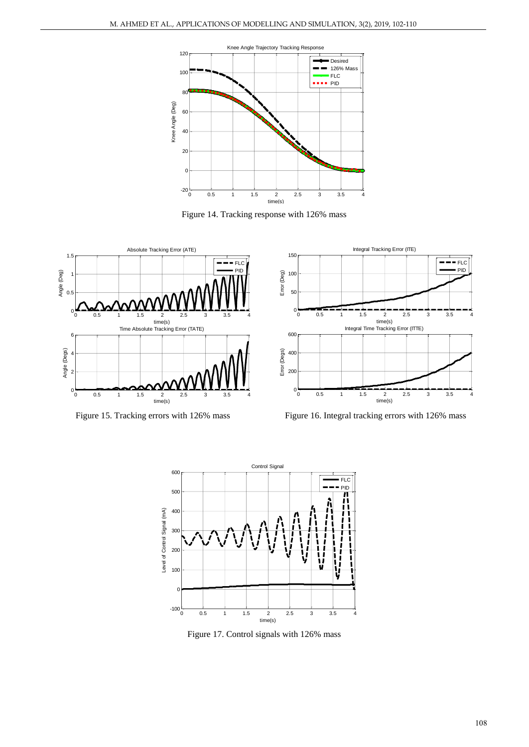







Figure 15. Tracking errors with 126% mass Figure 16. Integral tracking errors with 126% mass



Figure 17. Control signals with 126% mass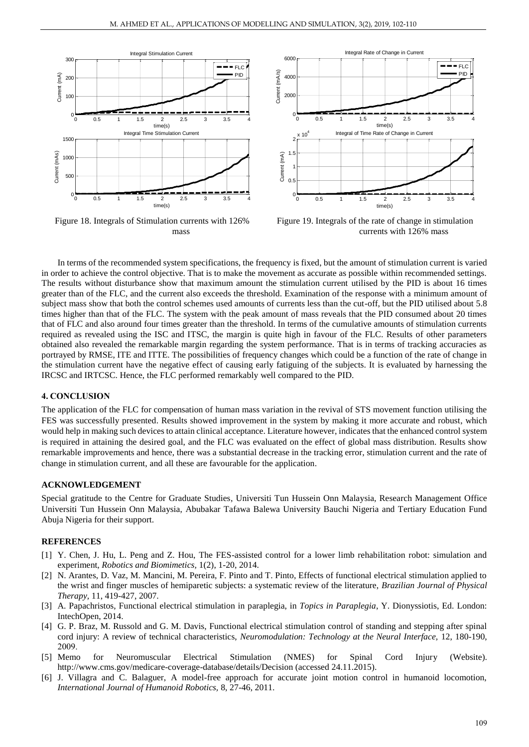

Figure 18. Integrals of Stimulation currents with 126% mass



Figure 19. Integrals of the rate of change in stimulation currents with 126% mass

In terms of the recommended system specifications, the frequency is fixed, but the amount of stimulation current is varied in order to achieve the control objective. That is to make the movement as accurate as possible within recommended settings. The results without disturbance show that maximum amount the stimulation current utilised by the PID is about 16 times greater than of the FLC, and the current also exceeds the threshold. Examination of the response with a minimum amount of subject mass show that both the control schemes used amounts of currents less than the cut-off, but the PID utilised about 5.8 times higher than that of the FLC. The system with the peak amount of mass reveals that the PID consumed about 20 times that of FLC and also around four times greater than the threshold. In terms of the cumulative amounts of stimulation currents required as revealed using the ISC and ITSC, the margin is quite high in favour of the FLC. Results of other parameters obtained also revealed the remarkable margin regarding the system performance. That is in terms of tracking accuracies as portrayed by RMSE, ITE and ITTE. The possibilities of frequency changes which could be a function of the rate of change in the stimulation current have the negative effect of causing early fatiguing of the subjects. It is evaluated by harnessing the IRCSC and IRTCSC. Hence, the FLC performed remarkably well compared to the PID.

### **4. CONCLUSION**

The application of the FLC for compensation of human mass variation in the revival of STS movement function utilising the FES was successfully presented. Results showed improvement in the system by making it more accurate and robust, which would help in making such devices to attain clinical acceptance. Literature however, indicates that the enhanced control system is required in attaining the desired goal, and the FLC was evaluated on the effect of global mass distribution. Results show remarkable improvements and hence, there was a substantial decrease in the tracking error, stimulation current and the rate of change in stimulation current, and all these are favourable for the application.

#### **ACKNOWLEDGEMENT**

Special gratitude to the Centre for Graduate Studies, Universiti Tun Hussein Onn Malaysia, Research Management Office Universiti Tun Hussein Onn Malaysia, Abubakar Tafawa Balewa University Bauchi Nigeria and Tertiary Education Fund Abuja Nigeria for their support.

#### **REFERENCES**

- <span id="page-7-0"></span>[1] Y. Chen, J. Hu, L. Peng and Z. Hou, The FES-assisted control for a lower limb rehabilitation robot: simulation and experiment, *Robotics and Biomimetics,* 1(2), 1-20, 2014.
- <span id="page-7-1"></span>[2] N. Arantes, D. Vaz, M. Mancini, M. Pereira, F. Pinto and T. Pinto, Effects of functional electrical stimulation applied to the wrist and finger muscles of hemiparetic subjects: a systematic review of the literature, *Brazilian Journal of Physical Therapy,* 11, 419-427, 2007.
- [3] A. Papachristos, Functional electrical stimulation in paraplegia, in *Topics in Paraplegia*, Y. Dionyssiotis, Ed. London: IntechOpen, 2014.
- [4] G. P. Braz, M. Russold and G. M. Davis, Functional electrical stimulation control of standing and stepping after spinal cord injury: A review of technical characteristics, *Neuromodulation: Technology at the Neural Interface,* 12, 180-190, 2009.
- <span id="page-7-2"></span>[5] Memo for Neuromuscular Electrical Stimulation (NMES) for Spinal Cord Injury (Website). http://www.cms.gov/medicare-coverage-database/details/Decision (accessed 24.11.2015).
- <span id="page-7-3"></span>[6] J. Villagra and C. Balaguer, A model-free approach for accurate joint motion control in humanoid locomotion, *International Journal of Humanoid Robotics,* 8, 27-46, 2011.